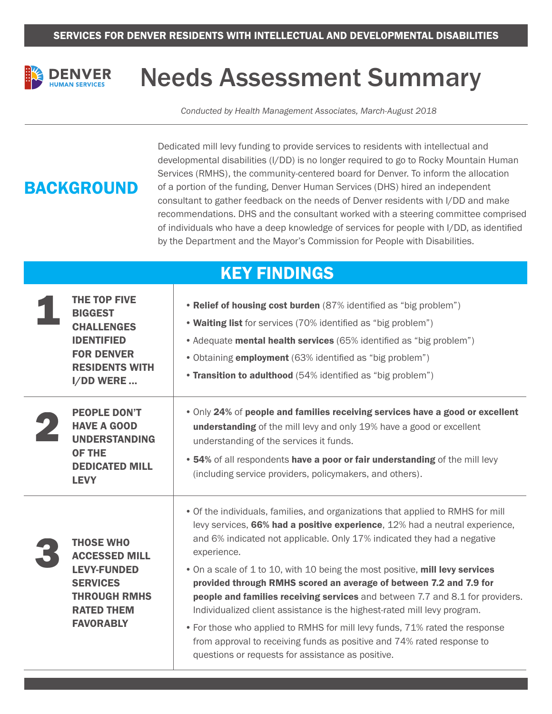

# Needs Assessment Summary

*Conducted by Health Management Associates, March-August 2018*

## **BACKGROUND**

Dedicated mill levy funding to provide services to residents with intellectual and developmental disabilities (I/DD) is no longer required to go to Rocky Mountain Human Services (RMHS), the community-centered board for Denver. To inform the allocation of a portion of the funding, Denver Human Services (DHS) hired an independent consultant to gather feedback on the needs of Denver residents with I/DD and make recommendations. DHS and the consultant worked with a steering committee comprised of individuals who have a deep knowledge of services for people with I/DD, as identified by the Department and the Mayor's Commission for People with Disabilities.

#### KEY FINDINGS THE TOP FIVE BIGGEST **CHALLENGES** IDENTIFIED FOR DENVER RESIDENTS WITH I/DD WERE ... • Relief of housing cost burden (87% identified as "big problem") • Waiting list for services (70% identified as "big problem") • Adequate **mental health services** (65% identified as "big problem") •Obtaining employment (63% identified as "big problem") • Transition to adulthood (54% identified as "big problem") PEOPLE DON'T HAVE A GOOD UNDERSTANDING OF THE DEDICATED MILL LEVY •Only 24% of people and families receiving services have a good or excellent understanding of the mill levy and only 19% have a good or excellent understanding of the services it funds. • 54% of all respondents have a poor or fair understanding of the mill levy (including service providers, policymakers, and others). THOSE WHO ACCESSED MILL LEVY-FUNDED **SERVICES** THROUGH RMHS RATED THEM **FAVORABLY** •Of the individuals, families, and organizations that applied to RMHS for mill levy services, 66% had a positive experience, 12% had a neutral experience, and 6% indicated not applicable. Only 17% indicated they had a negative experience. • On a scale of 1 to 10, with 10 being the most positive, mill levy services provided through RMHS scored an average of between 7.2 and 7.9 for people and families receiving services and between 7.7 and 8.1 for providers. Individualized client assistance is the highest-rated mill levy program. •For those who applied to RMHS for mill levy funds, 71% rated the response from approval to receiving funds as positive and 74% rated response to questions or requests for assistance as positive. 1 2 3